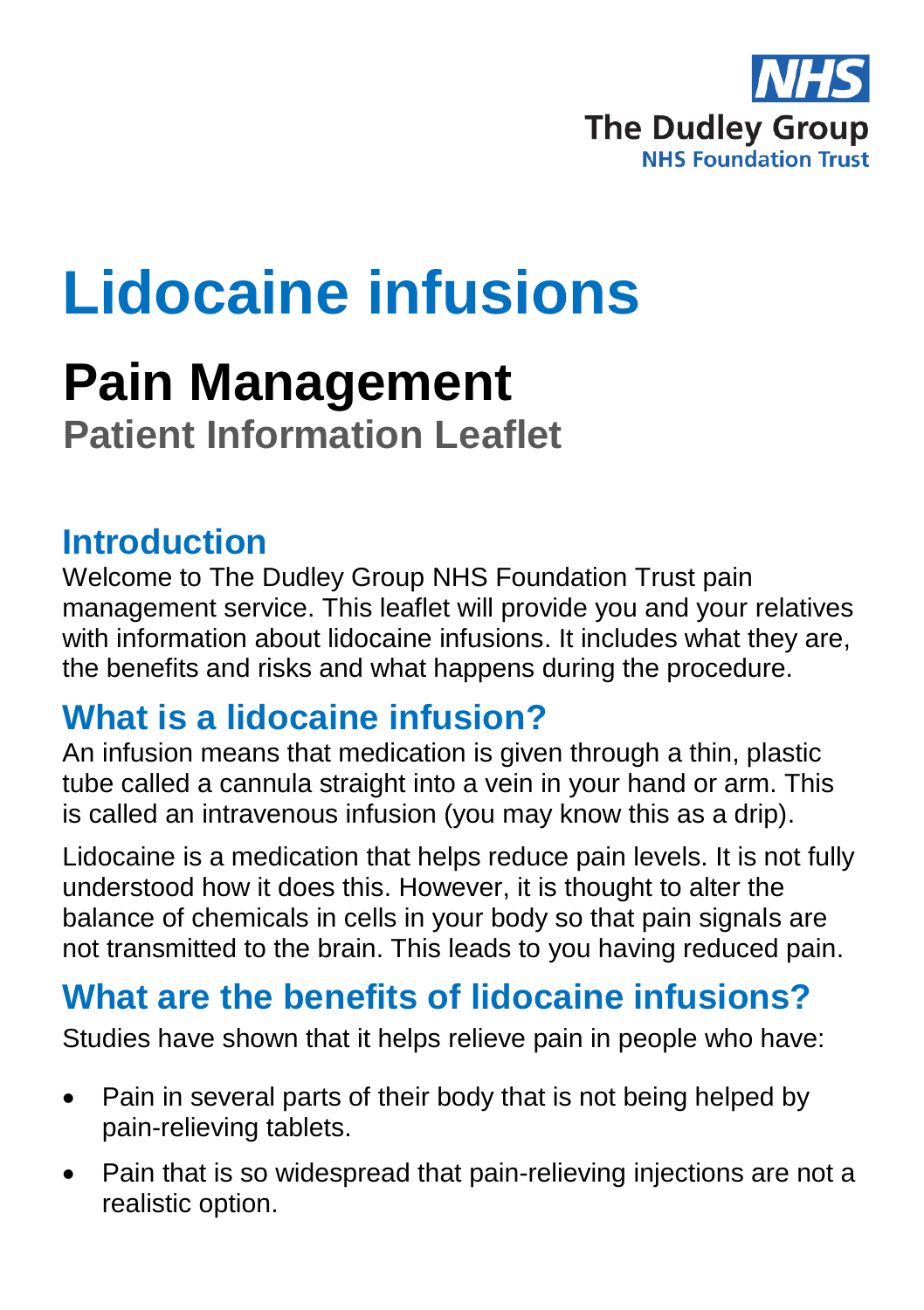

## **Lidocaine infusions**

# **Pain Management**

**Patient Information Leaflet**

### **Introduction**

Welcome to The Dudley Group NHS Foundation Trust pain management service. This leaflet will provide you and your relatives with information about lidocaine infusions. It includes what they are, the benefits and risks and what happens during the procedure.

## **What is a lidocaine infusion?**

An infusion means that medication is given through a thin, plastic tube called a cannula straight into a vein in your hand or arm. This is called an intravenous infusion (you may know this as a drip).

Lidocaine is a medication that helps reduce pain levels. It is not fully understood how it does this. However, it is thought to alter the balance of chemicals in cells in your body so that pain signals are not transmitted to the brain. This leads to you having reduced pain.

## **What are the benefits of lidocaine infusions?**

Studies have shown that it helps relieve pain in people who have:

- Pain in several parts of their body that is not being helped by pain-relieving tablets.
- Pain that is so widespread that pain-relieving injections are not a realistic option.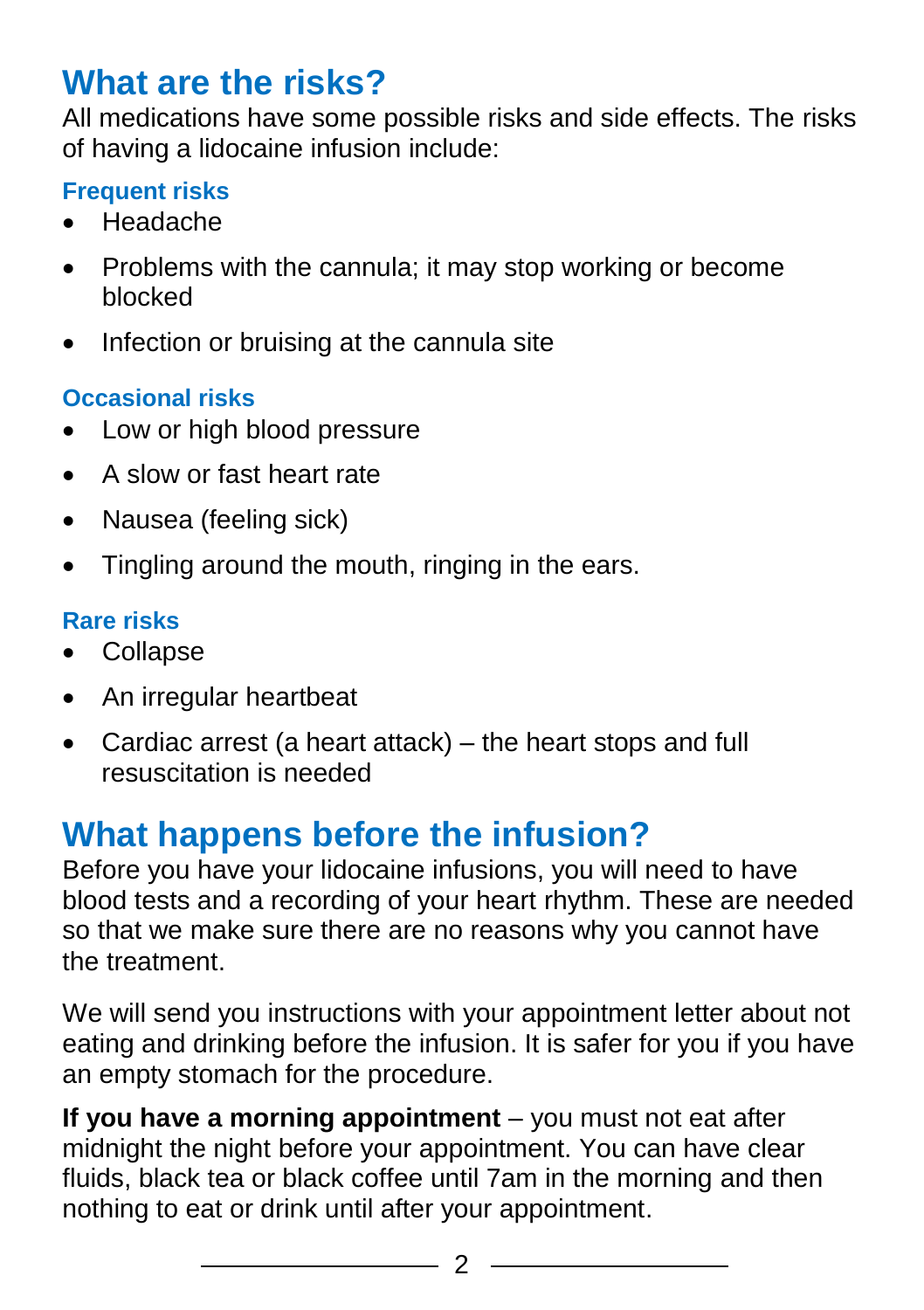## **What are the risks?**

All medications have some possible risks and side effects. The risks of having a lidocaine infusion include:

#### **Frequent risks**

- Headache
- Problems with the cannula; it may stop working or become blocked
- Infection or bruising at the cannula site

### **Occasional risks**

- Low or high blood pressure
- A slow or fast heart rate
- Nausea (feeling sick)
- Tingling around the mouth, ringing in the ears.

#### **Rare risks**

- Collapse
- An irregular heartbeat
- Cardiac arrest (a heart attack) the heart stops and full resuscitation is needed

## **What happens before the infusion?**

Before you have your lidocaine infusions, you will need to have blood tests and a recording of your heart rhythm. These are needed so that we make sure there are no reasons why you cannot have the treatment.

We will send you instructions with your appointment letter about not eating and drinking before the infusion. It is safer for you if you have an empty stomach for the procedure.

**If you have a morning appointment** – you must not eat after midnight the night before your appointment. You can have clear fluids, black tea or black coffee until 7am in the morning and then nothing to eat or drink until after your appointment.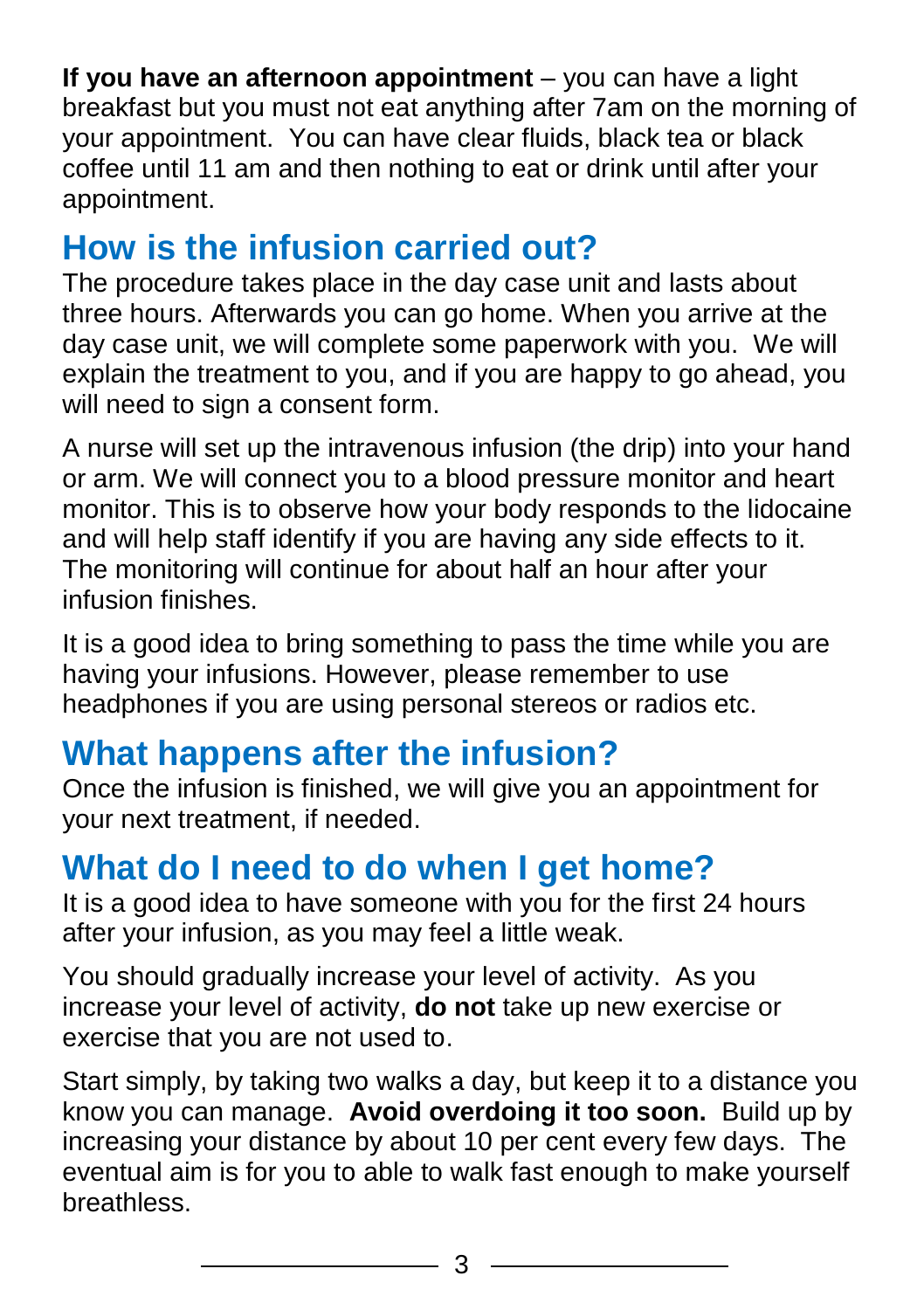**If you have an afternoon appointment** – you can have a light breakfast but you must not eat anything after 7am on the morning of your appointment. You can have clear fluids, black tea or black coffee until 11 am and then nothing to eat or drink until after your appointment.

## **How is the infusion carried out?**

The procedure takes place in the day case unit and lasts about three hours. Afterwards you can go home. When you arrive at the day case unit, we will complete some paperwork with you. We will explain the treatment to you, and if you are happy to go ahead, you will need to sign a consent form.

A nurse will set up the intravenous infusion (the drip) into your hand or arm. We will connect you to a blood pressure monitor and heart monitor. This is to observe how your body responds to the lidocaine and will help staff identify if you are having any side effects to it. The monitoring will continue for about half an hour after your infusion finishes.

It is a good idea to bring something to pass the time while you are having your infusions. However, please remember to use headphones if you are using personal stereos or radios etc.

## **What happens after the infusion?**

Once the infusion is finished, we will give you an appointment for your next treatment, if needed.

## **What do I need to do when I get home?**

It is a good idea to have someone with you for the first 24 hours after your infusion, as you may feel a little weak.

You should gradually increase your level of activity. As you increase your level of activity, **do not** take up new exercise or exercise that you are not used to.

Start simply, by taking two walks a day, but keep it to a distance you know you can manage. **Avoid overdoing it too soon.** Build up by increasing your distance by about 10 per cent every few days. The eventual aim is for you to able to walk fast enough to make yourself breathless.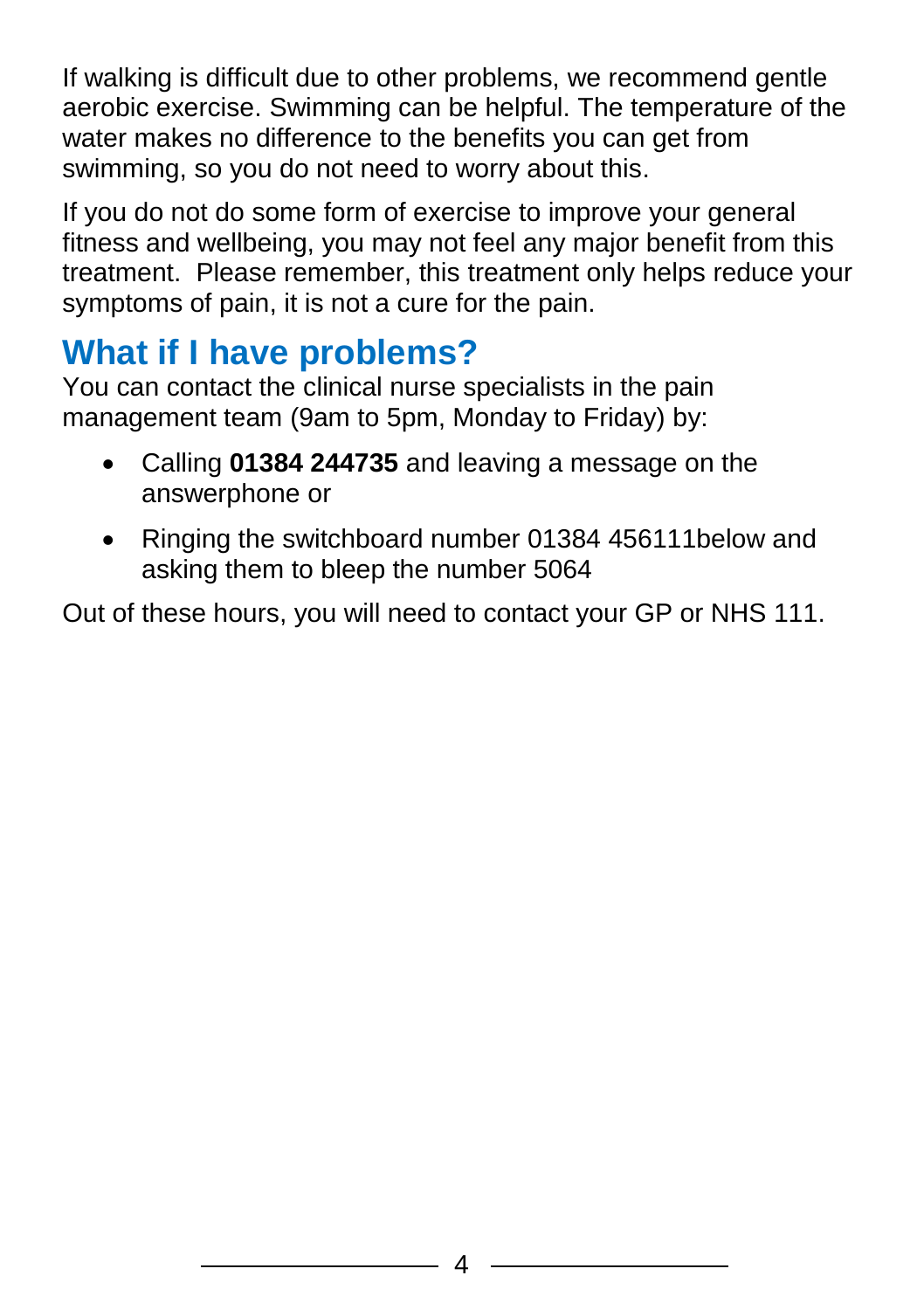If walking is difficult due to other problems, we recommend gentle aerobic exercise. Swimming can be helpful. The temperature of the water makes no difference to the benefits you can get from swimming, so you do not need to worry about this.

If you do not do some form of exercise to improve your general fitness and wellbeing, you may not feel any major benefit from this treatment. Please remember, this treatment only helps reduce your symptoms of pain, it is not a cure for the pain.

## **What if I have problems?**

You can contact the clinical nurse specialists in the pain management team (9am to 5pm, Monday to Friday) by:

- Calling **01384 244735** and leaving a message on the answerphone or
- Ringing the switchboard number 01384 456111below and asking them to bleep the number 5064

Out of these hours, you will need to contact your GP or NHS 111.